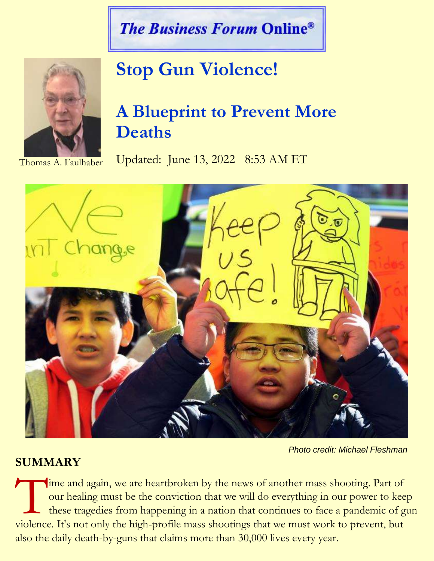## **The Business Forum Online®**



# **Stop Gun Violence!**

## **A Blueprint to Prevent More Deaths**

Updated: June 13, 2022 8:53 AM ET



 *Photo credit: Michael Fleshman*

### **SUMMARY**

ime and again, we are heartbroken by the news of another mass shooting. Part of our healing must be the conviction that we will do everything in our power to keep these tragedies from happening in a nation that continues to face a pandemic of gun Time and again, we are heartbroken by the news of another mass shooting. Part of our healing must be the conviction that we will do everything in our power to kee these tragedies from happening in a nation that continues t also the daily death-by-guns that claims more than 30,000 lives every year.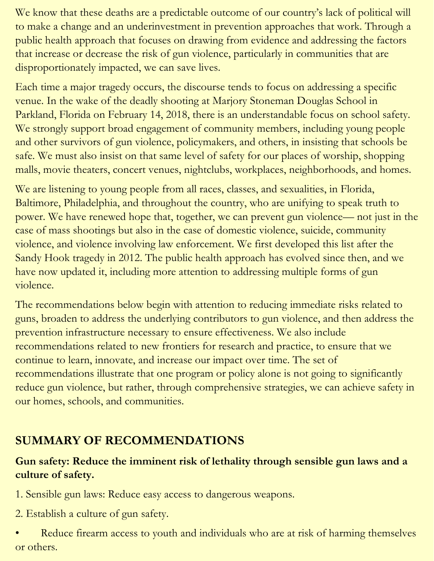We know that these deaths are a predictable outcome of our country's lack of political will to make a change and an underinvestment in prevention approaches that work. Through a public health approach that focuses on drawing from evidence and addressing the factors that increase or decrease the risk of gun violence, particularly in communities that are disproportionately impacted, we can save lives.

Each time a major tragedy occurs, the discourse tends to focus on addressing a specific venue. In the wake of the deadly shooting at Marjory Stoneman Douglas School in Parkland, Florida on February 14, 2018, there is an understandable focus on school safety. We strongly support broad engagement of community members, including young people and other survivors of gun violence, policymakers, and others, in insisting that schools be safe. We must also insist on that same level of safety for our places of worship, shopping malls, movie theaters, concert venues, nightclubs, workplaces, neighborhoods, and homes.

We are listening to young people from all races, classes, and sexualities, in Florida, Baltimore, Philadelphia, and throughout the country, who are unifying to speak truth to power. We have renewed hope that, together, we can prevent gun violence— not just in the case of mass shootings but also in the case of domestic violence, suicide, community violence, and violence involving law enforcement. We first developed this list after the Sandy Hook tragedy in 2012. The public health approach has evolved since then, and we have now updated it, including more attention to addressing multiple forms of gun violence.

The recommendations below begin with attention to reducing immediate risks related to guns, broaden to address the underlying contributors to gun violence, and then address the prevention infrastructure necessary to ensure effectiveness. We also include recommendations related to new frontiers for research and practice, to ensure that we continue to learn, innovate, and increase our impact over time. The set of recommendations illustrate that one program or policy alone is not going to significantly reduce gun violence, but rather, through comprehensive strategies, we can achieve safety in our homes, schools, and communities.

### **SUMMARY OF RECOMMENDATIONS**

#### **Gun safety: Reduce the imminent risk of lethality through sensible gun laws and a culture of safety.**

1. Sensible gun laws: Reduce easy access to dangerous weapons.

2. Establish a culture of gun safety.

Reduce firearm access to youth and individuals who are at risk of harming themselves or others.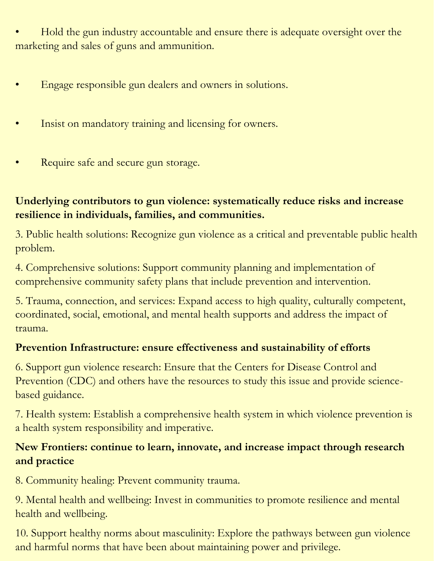• Hold the gun industry accountable and ensure there is adequate oversight over the marketing and sales of guns and ammunition.

- Engage responsible gun dealers and owners in solutions.
- Insist on mandatory training and licensing for owners.
- Require safe and secure gun storage.

#### **Underlying contributors to gun violence: systematically reduce risks and increase resilience in individuals, families, and communities.**

3. Public health solutions: Recognize gun violence as a critical and preventable public health problem.

4. Comprehensive solutions: Support community planning and implementation of comprehensive community safety plans that include prevention and intervention.

5. Trauma, connection, and services: Expand access to high quality, culturally competent, coordinated, social, emotional, and mental health supports and address the impact of trauma.

#### **Prevention Infrastructure: ensure effectiveness and sustainability of efforts**

6. Support gun violence research: Ensure that the Centers for Disease Control and Prevention (CDC) and others have the resources to study this issue and provide sciencebased guidance.

7. Health system: Establish a comprehensive health system in which violence prevention is a health system responsibility and imperative.

#### **New Frontiers: continue to learn, innovate, and increase impact through research and practice**

8. Community healing: Prevent community trauma.

9. Mental health and wellbeing: Invest in communities to promote resilience and mental health and wellbeing.

10. Support healthy norms about masculinity: Explore the pathways between gun violence and harmful norms that have been about maintaining power and privilege.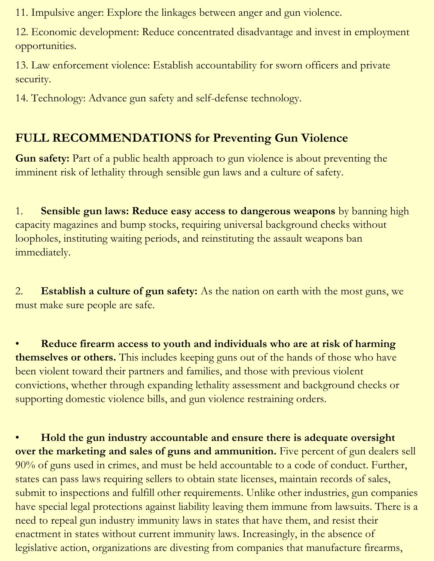11. Impulsive anger: Explore the linkages between anger and gun violence.

12. Economic development: Reduce concentrated disadvantage and invest in employment opportunities.

13. Law enforcement violence: Establish accountability for sworn officers and private security.

14. Technology: Advance gun safety and self-defense technology.

## **FULL RECOMMENDATIONS for Preventing Gun Violence**

**Gun safety:** Part of a public health approach to gun violence is about preventing the imminent risk of lethality through sensible gun laws and a culture of safety.

1. **Sensible gun laws: Reduce easy access to dangerous weapons** by banning high capacity magazines and bump stocks, requiring universal background checks without loopholes, instituting waiting periods, and reinstituting the assault weapons ban immediately.

2. **Establish a culture of gun safety:** As the nation on earth with the most guns, we must make sure people are safe.

• **Reduce firearm access to youth and individuals who are at risk of harming themselves or others.** This includes keeping guns out of the hands of those who have been violent toward their partners and families, and those with previous violent convictions, whether through expanding lethality assessment and background checks or supporting domestic violence bills, and gun violence restraining orders.

• **Hold the gun industry accountable and ensure there is adequate oversight over the marketing and sales of guns and ammunition.** Five percent of gun dealers sell 90% of guns used in crimes, and must be held accountable to a code of conduct. Further, states can pass laws requiring sellers to obtain state licenses, maintain records of sales, submit to inspections and fulfill other requirements. Unlike other industries, gun companies have special legal protections against liability leaving them immune from lawsuits. There is a need to repeal gun industry immunity laws in states that have them, and resist their enactment in states without current immunity laws. Increasingly, in the absence of legislative action, organizations are divesting from companies that manufacture firearms,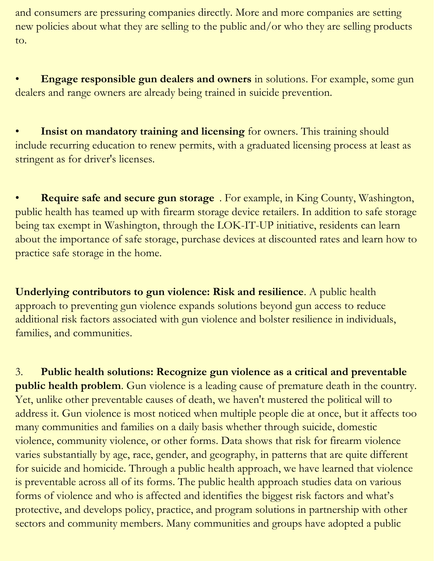and consumers are pressuring companies directly. More and more companies are setting new policies about what they are selling to the public and/or who they are selling products to.

• **Engage responsible gun dealers and owners** in solutions. For example, some gun dealers and range owners are already being trained in suicide prevention.

**Insist on mandatory training and licensing** for owners. This training should include recurring education to renew permits, with a graduated licensing process at least as stringent as for driver's licenses.

• **Require safe and secure gun storage** . For example, in King County, Washington, public health has teamed up with firearm storage device retailers. In addition to safe storage being tax exempt in Washington, through the LOK-IT-UP initiative, residents can learn about the importance of safe storage, purchase devices at discounted rates and learn how to practice safe storage in the home.

**Underlying contributors to gun violence: Risk and resilience**. A public health approach to preventing gun violence expands solutions beyond gun access to reduce additional risk factors associated with gun violence and bolster resilience in individuals, families, and communities.

3. **Public health solutions: Recognize gun violence as a critical and preventable public health problem**. Gun violence is a leading cause of premature death in the country. Yet, unlike other preventable causes of death, we haven't mustered the political will to address it. Gun violence is most noticed when multiple people die at once, but it affects too many communities and families on a daily basis whether through suicide, domestic violence, community violence, or other forms. Data shows that risk for firearm violence varies substantially by age, race, gender, and geography, in patterns that are quite different for suicide and homicide. Through a public health approach, we have learned that violence is preventable across all of its forms. The public health approach studies data on various forms of violence and who is affected and identifies the biggest risk factors and what's protective, and develops policy, practice, and program solutions in partnership with other sectors and community members. Many communities and groups have adopted a public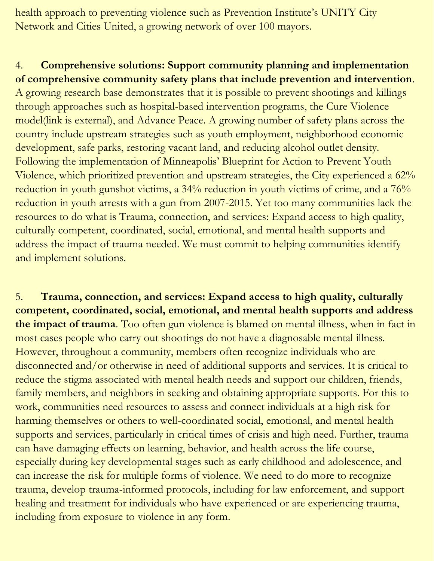health approach to preventing violence such as Prevention Institute's UNITY City Network and Cities United, a growing network of over 100 mayors.

#### 4. **Comprehensive solutions: Support community planning and implementation of comprehensive community safety plans that include prevention and intervention**.

A growing research base demonstrates that it is possible to prevent shootings and killings through approaches such as hospital-based intervention programs, the Cure Violence model(link is external), and Advance Peace. A growing number of safety plans across the country include upstream strategies such as youth employment, neighborhood economic development, safe parks, restoring vacant land, and reducing alcohol outlet density. Following the implementation of Minneapolis' Blueprint for Action to Prevent Youth Violence, which prioritized prevention and upstream strategies, the City experienced a 62% reduction in youth gunshot victims, a 34% reduction in youth victims of crime, and a 76% reduction in youth arrests with a gun from 2007-2015. Yet too many communities lack the resources to do what is Trauma, connection, and services: Expand access to high quality, culturally competent, coordinated, social, emotional, and mental health supports and address the impact of trauma needed. We must commit to helping communities identify and implement solutions.

5. **Trauma, connection, and services: Expand access to high quality, culturally competent, coordinated, social, emotional, and mental health supports and address the impact of trauma**. Too often gun violence is blamed on mental illness, when in fact in most cases people who carry out shootings do not have a diagnosable mental illness. However, throughout a community, members often recognize individuals who are disconnected and/or otherwise in need of additional supports and services. It is critical to reduce the stigma associated with mental health needs and support our children, friends, family members, and neighbors in seeking and obtaining appropriate supports. For this to work, communities need resources to assess and connect individuals at a high risk for harming themselves or others to well-coordinated social, emotional, and mental health supports and services, particularly in critical times of crisis and high need. Further, trauma can have damaging effects on learning, behavior, and health across the life course, especially during key developmental stages such as early childhood and adolescence, and can increase the risk for multiple forms of violence. We need to do more to recognize trauma, develop trauma-informed protocols, including for law enforcement, and support healing and treatment for individuals who have experienced or are experiencing trauma, including from exposure to violence in any form.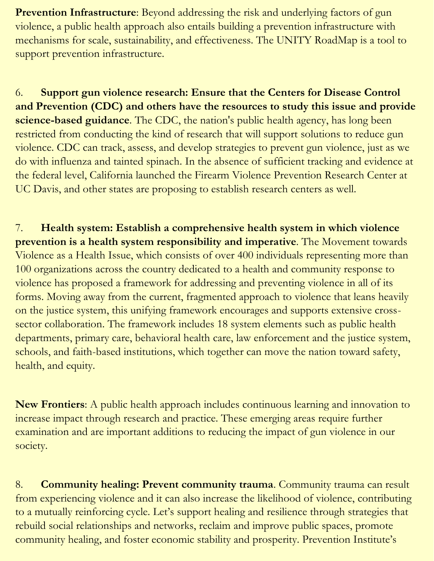**Prevention Infrastructure**: Beyond addressing the risk and underlying factors of gun violence, a public health approach also entails building a prevention infrastructure with mechanisms for scale, sustainability, and effectiveness. The UNITY RoadMap is a tool to support prevention infrastructure.

6. **Support gun violence research: Ensure that the Centers for Disease Control and Prevention (CDC) and others have the resources to study this issue and provide science-based guidance**. The CDC, the nation's public health agency, has long been restricted from conducting the kind of research that will support solutions to reduce gun violence. CDC can track, assess, and develop strategies to prevent gun violence, just as we do with influenza and tainted spinach. In the absence of sufficient tracking and evidence at the federal level, California launched the Firearm Violence Prevention Research Center at UC Davis, and other states are proposing to establish research centers as well.

7. **Health system: Establish a comprehensive health system in which violence prevention is a health system responsibility and imperative**. The Movement towards Violence as a Health Issue, which consists of over 400 individuals representing more than 100 organizations across the country dedicated to a health and community response to violence has proposed a framework for addressing and preventing violence in all of its forms. Moving away from the current, fragmented approach to violence that leans heavily on the justice system, this unifying framework encourages and supports extensive crosssector collaboration. The framework includes 18 system elements such as public health departments, primary care, behavioral health care, law enforcement and the justice system, schools, and faith-based institutions, which together can move the nation toward safety, health, and equity.

**New Frontiers**: A public health approach includes continuous learning and innovation to increase impact through research and practice. These emerging areas require further examination and are important additions to reducing the impact of gun violence in our society.

8. **Community healing: Prevent community trauma**. Community trauma can result from experiencing violence and it can also increase the likelihood of violence, contributing to a mutually reinforcing cycle. Let's support healing and resilience through strategies that rebuild social relationships and networks, reclaim and improve public spaces, promote community healing, and foster economic stability and prosperity. Prevention Institute's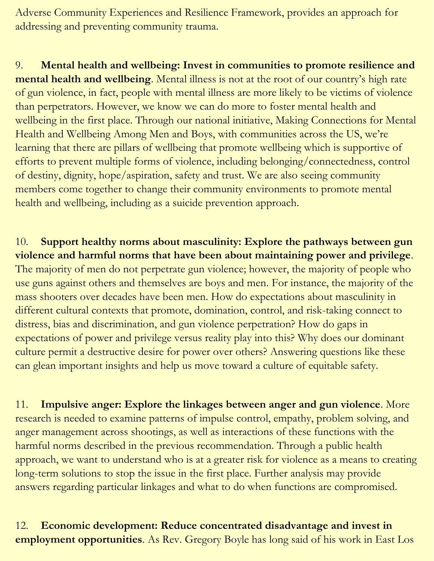Adverse Community Experiences and Resilience Framework, provides an approach for addressing and preventing community trauma.

9. **Mental health and wellbeing: Invest in communities to promote resilience and mental health and wellbeing**. Mental illness is not at the root of our country's high rate of gun violence, in fact, people with mental illness are more likely to be victims of violence than perpetrators. However, we know we can do more to foster mental health and wellbeing in the first place. Through our national initiative, Making Connections for Mental Health and Wellbeing Among Men and Boys, with communities across the US, we're learning that there are pillars of wellbeing that promote wellbeing which is supportive of efforts to prevent multiple forms of violence, including belonging/connectedness, control of destiny, dignity, hope/aspiration, safety and trust. We are also seeing community members come together to change their community environments to promote mental health and wellbeing, including as a suicide prevention approach.

10. **Support healthy norms about masculinity: Explore the pathways between gun violence and harmful norms that have been about maintaining power and privilege**. The majority of men do not perpetrate gun violence; however, the majority of people who use guns against others and themselves are boys and men. For instance, the majority of the mass shooters over decades have been men. How do expectations about masculinity in different cultural contexts that promote, domination, control, and risk-taking connect to distress, bias and discrimination, and gun violence perpetration? How do gaps in expectations of power and privilege versus reality play into this? Why does our dominant culture permit a destructive desire for power over others? Answering questions like these can glean important insights and help us move toward a culture of equitable safety.

11. **Impulsive anger: Explore the linkages between anger and gun violence**. More research is needed to examine patterns of impulse control, empathy, problem solving, and anger management across shootings, as well as interactions of these functions with the harmful norms described in the previous recommendation. Through a public health approach, we want to understand who is at a greater risk for violence as a means to creating long-term solutions to stop the issue in the first place. Further analysis may provide answers regarding particular linkages and what to do when functions are compromised.

12. **Economic development: Reduce concentrated disadvantage and invest in employment opportunities**. As Rev. Gregory Boyle has long said of his work in East Los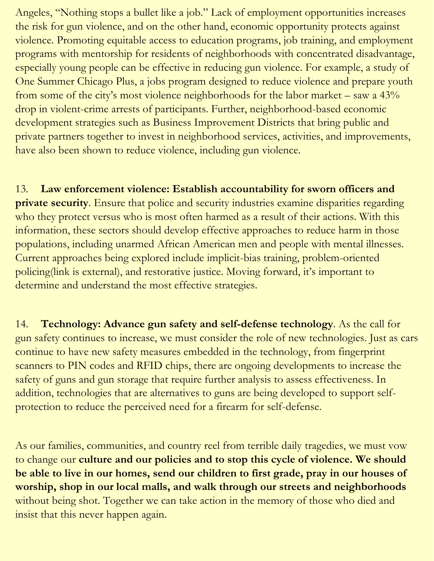Angeles, "Nothing stops a bullet like a job." Lack of employment opportunities increases the risk for gun violence, and on the other hand, economic opportunity protects against violence. Promoting equitable access to education programs, job training, and employment programs with mentorship for residents of neighborhoods with concentrated disadvantage, especially young people can be effective in reducing gun violence. For example, a study of One Summer Chicago Plus, a jobs program designed to reduce violence and prepare youth from some of the city's most violence neighborhoods for the labor market – saw a 43% drop in violent-crime arrests of participants. Further, neighborhood-based economic development strategies such as Business Improvement Districts that bring public and private partners together to invest in neighborhood services, activities, and improvements, have also been shown to reduce violence, including gun violence.

13. **Law enforcement violence: Establish accountability for sworn officers and private security**. Ensure that police and security industries examine disparities regarding who they protect versus who is most often harmed as a result of their actions. With this information, these sectors should develop effective approaches to reduce harm in those populations, including unarmed African American men and people with mental illnesses. Current approaches being explored include implicit-bias training, problem-oriented policing(link is external), and restorative justice. Moving forward, it's important to determine and understand the most effective strategies.

14. **Technology: Advance gun safety and self-defense technology**. As the call for gun safety continues to increase, we must consider the role of new technologies. Just as cars continue to have new safety measures embedded in the technology, from fingerprint scanners to PIN codes and RFID chips, there are ongoing developments to increase the safety of guns and gun storage that require further analysis to assess effectiveness. In addition, technologies that are alternatives to guns are being developed to support selfprotection to reduce the perceived need for a firearm for self-defense.

As our families, communities, and country reel from terrible daily tragedies, we must vow to change our **culture and our policies and to stop this cycle of violence. We should be able to live in our homes, send our children to first grade, pray in our houses of worship, shop in our local malls, and walk through our streets and neighborhoods** without being shot. Together we can take action in the memory of those who died and insist that this never happen again.